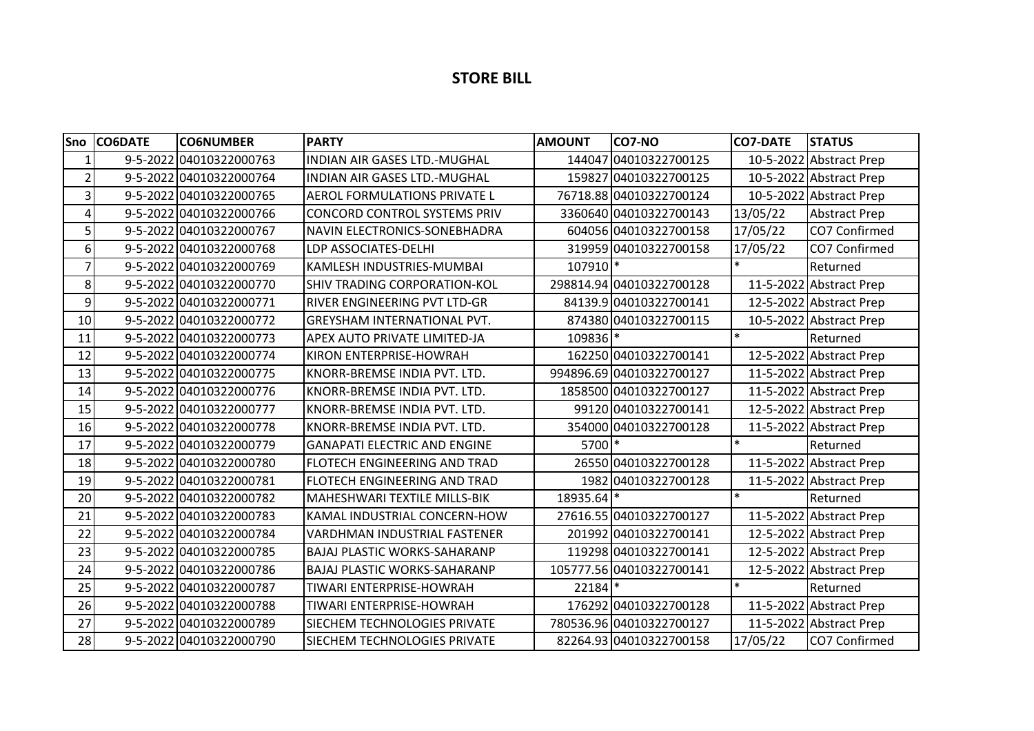## **STORE BILL**

| Sno            | <b>CO6DATE</b> | <b>CO6NUMBER</b>        | <b>PARTY</b>                        | <b>AMOUNT</b> | CO7-NO                   | <b>CO7-DATE</b> | <b>STATUS</b>           |
|----------------|----------------|-------------------------|-------------------------------------|---------------|--------------------------|-----------------|-------------------------|
| 1              |                | 9-5-2022 04010322000763 | INDIAN AIR GASES LTD.-MUGHAL        |               | 144047 04010322700125    |                 | 10-5-2022 Abstract Prep |
| $\overline{2}$ |                | 9-5-2022 04010322000764 | <b>INDIAN AIR GASES LTD.-MUGHAL</b> |               | 159827 04010322700125    |                 | 10-5-2022 Abstract Prep |
| 3              |                | 9-5-2022 04010322000765 | <b>AEROL FORMULATIONS PRIVATE L</b> |               | 76718.88 04010322700124  |                 | 10-5-2022 Abstract Prep |
| 4              |                | 9-5-2022 04010322000766 | CONCORD CONTROL SYSTEMS PRIV        |               | 3360640 04010322700143   | 13/05/22        | <b>Abstract Prep</b>    |
| 5              |                | 9-5-2022 04010322000767 | NAVIN ELECTRONICS-SONEBHADRA        |               | 604056 04010322700158    | 17/05/22        | CO7 Confirmed           |
| 6              |                | 9-5-2022 04010322000768 | LDP ASSOCIATES-DELHI                |               | 319959 04010322700158    | 17/05/22        | CO7 Confirmed           |
| 7              |                | 9-5-2022 04010322000769 | KAMLESH INDUSTRIES-MUMBAI           | 107910 *      |                          |                 | Returned                |
| 8              |                | 9-5-2022 04010322000770 | <b>SHIV TRADING CORPORATION-KOL</b> |               | 298814.94 04010322700128 |                 | 11-5-2022 Abstract Prep |
| 9              |                | 9-5-2022 04010322000771 | <b>RIVER ENGINEERING PVT LTD-GR</b> |               | 84139.9 04010322700141   |                 | 12-5-2022 Abstract Prep |
| 10             |                | 9-5-2022 04010322000772 | GREYSHAM INTERNATIONAL PVT.         |               | 874380 04010322700115    |                 | 10-5-2022 Abstract Prep |
| 11             |                | 9-5-2022 04010322000773 | APEX AUTO PRIVATE LIMITED-JA        | 109836 *      |                          | $\ast$          | Returned                |
| 12             |                | 9-5-2022 04010322000774 | <b>KIRON ENTERPRISE-HOWRAH</b>      |               | 162250 04010322700141    |                 | 12-5-2022 Abstract Prep |
| 13             |                | 9-5-2022 04010322000775 | KNORR-BREMSE INDIA PVT. LTD.        |               | 994896.69 04010322700127 |                 | 11-5-2022 Abstract Prep |
| 14             |                | 9-5-2022 04010322000776 | KNORR-BREMSE INDIA PVT. LTD.        |               | 1858500 04010322700127   |                 | 11-5-2022 Abstract Prep |
| 15             |                | 9-5-2022 04010322000777 | KNORR-BREMSE INDIA PVT. LTD.        |               | 99120 04010322700141     |                 | 12-5-2022 Abstract Prep |
| 16             |                | 9-5-2022 04010322000778 | KNORR-BREMSE INDIA PVT. LTD.        |               | 354000 04010322700128    |                 | 11-5-2022 Abstract Prep |
| 17             |                | 9-5-2022 04010322000779 | <b>GANAPATI ELECTRIC AND ENGINE</b> | 5700 *        |                          | $\ast$          | Returned                |
| 18             |                | 9-5-2022 04010322000780 | FLOTECH ENGINEERING AND TRAD        |               | 26550 04010322700128     |                 | 11-5-2022 Abstract Prep |
| 19             |                | 9-5-2022 04010322000781 | FLOTECH ENGINEERING AND TRAD        |               | 1982 04010322700128      |                 | 11-5-2022 Abstract Prep |
| 20             |                | 9-5-2022 04010322000782 | <b>MAHESHWARI TEXTILE MILLS-BIK</b> | 18935.64 *    |                          | $\ast$          | Returned                |
| 21             |                | 9-5-2022 04010322000783 | KAMAL INDUSTRIAL CONCERN-HOW        |               | 27616.55 04010322700127  |                 | 11-5-2022 Abstract Prep |
| 22             |                | 9-5-2022 04010322000784 | <b>VARDHMAN INDUSTRIAL FASTENER</b> |               | 201992 04010322700141    |                 | 12-5-2022 Abstract Prep |
| 23             |                | 9-5-2022 04010322000785 | <b>BAJAJ PLASTIC WORKS-SAHARANP</b> |               | 119298 04010322700141    |                 | 12-5-2022 Abstract Prep |
| 24             |                | 9-5-2022 04010322000786 | <b>BAJAJ PLASTIC WORKS-SAHARANP</b> |               | 105777.56 04010322700141 |                 | 12-5-2022 Abstract Prep |
| 25             |                | 9-5-2022 04010322000787 | TIWARI ENTERPRISE-HOWRAH            | 22184 *       |                          | $\ast$          | Returned                |
| 26             |                | 9-5-2022 04010322000788 | TIWARI ENTERPRISE-HOWRAH            |               | 176292 04010322700128    |                 | 11-5-2022 Abstract Prep |
| 27             |                | 9-5-2022 04010322000789 | SIECHEM TECHNOLOGIES PRIVATE        |               | 780536.96 04010322700127 |                 | 11-5-2022 Abstract Prep |
| 28             |                | 9-5-2022 04010322000790 | SIECHEM TECHNOLOGIES PRIVATE        |               | 82264.93 04010322700158  | 17/05/22        | CO7 Confirmed           |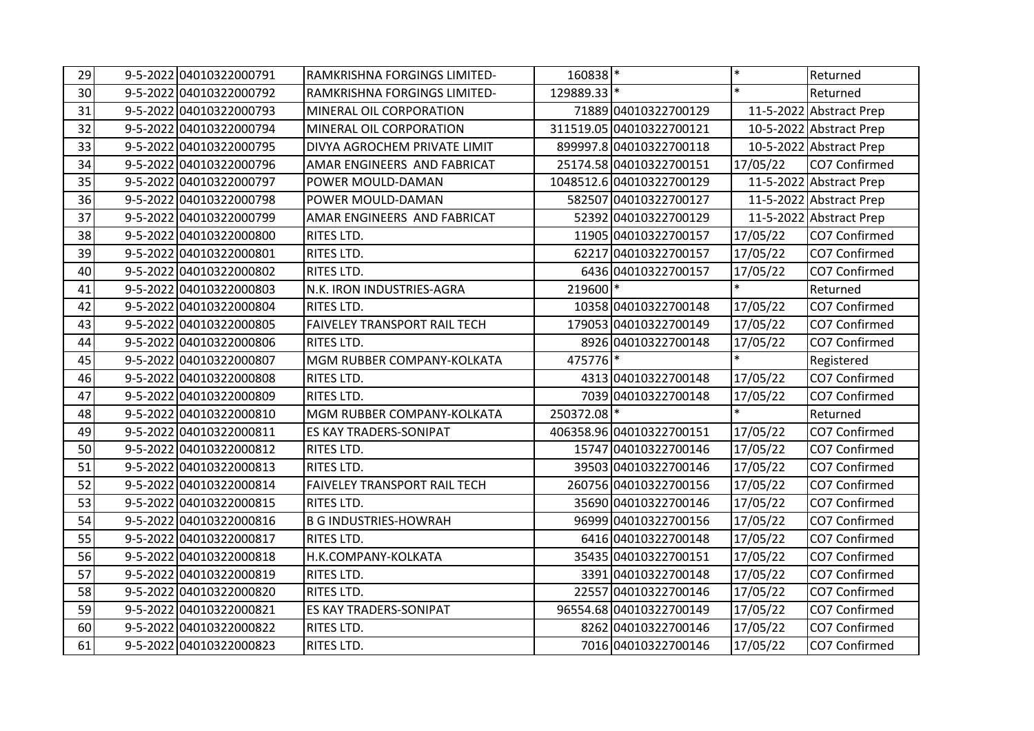| 29 | 9-5-2022 04010322000791 | RAMKRISHNA FORGINGS LIMITED- | 160838 *              |                          | $\ast$   | Returned                |
|----|-------------------------|------------------------------|-----------------------|--------------------------|----------|-------------------------|
| 30 | 9-5-2022 04010322000792 | RAMKRISHNA FORGINGS LIMITED- | 129889.33 *           |                          | $\ast$   | Returned                |
| 31 | 9-5-2022 04010322000793 | MINERAL OIL CORPORATION      |                       | 71889 04010322700129     |          | 11-5-2022 Abstract Prep |
| 32 | 9-5-2022 04010322000794 | MINERAL OIL CORPORATION      |                       | 311519.05 04010322700121 |          | 10-5-2022 Abstract Prep |
| 33 | 9-5-2022 04010322000795 | DIVYA AGROCHEM PRIVATE LIMIT |                       | 899997.8 04010322700118  |          | 10-5-2022 Abstract Prep |
| 34 | 9-5-2022 04010322000796 | AMAR ENGINEERS AND FABRICAT  |                       | 25174.58 04010322700151  | 17/05/22 | CO7 Confirmed           |
| 35 | 9-5-2022 04010322000797 | POWER MOULD-DAMAN            |                       | 1048512.6 04010322700129 |          | 11-5-2022 Abstract Prep |
| 36 | 9-5-2022 04010322000798 | POWER MOULD-DAMAN            |                       | 582507 04010322700127    |          | 11-5-2022 Abstract Prep |
| 37 | 9-5-2022 04010322000799 | AMAR ENGINEERS AND FABRICAT  |                       | 52392 04010322700129     |          | 11-5-2022 Abstract Prep |
| 38 | 9-5-2022 04010322000800 | RITES LTD.                   |                       | 11905 04010322700157     | 17/05/22 | CO7 Confirmed           |
| 39 | 9-5-2022 04010322000801 | RITES LTD.                   |                       | 62217 04010322700157     | 17/05/22 | CO7 Confirmed           |
| 40 | 9-5-2022 04010322000802 | RITES LTD.                   |                       | 6436 04010322700157      | 17/05/22 | CO7 Confirmed           |
| 41 | 9-5-2022 04010322000803 | N.K. IRON INDUSTRIES-AGRA    | 219600 *              |                          | $\ast$   | Returned                |
| 42 | 9-5-2022 04010322000804 | <b>RITES LTD.</b>            |                       | 10358 04010322700148     | 17/05/22 | CO7 Confirmed           |
| 43 | 9-5-2022 04010322000805 | FAIVELEY TRANSPORT RAIL TECH |                       | 179053 04010322700149    | 17/05/22 | CO7 Confirmed           |
| 44 | 9-5-2022 04010322000806 | RITES LTD.                   |                       | 8926 04010322700148      | 17/05/22 | CO7 Confirmed           |
| 45 | 9-5-2022 04010322000807 | MGM RUBBER COMPANY-KOLKATA   | $475776$ <sup>*</sup> |                          | $\ast$   | Registered              |
| 46 | 9-5-2022 04010322000808 | <b>RITES LTD.</b>            |                       | 4313 04010322700148      | 17/05/22 | CO7 Confirmed           |
| 47 | 9-5-2022 04010322000809 | RITES LTD.                   |                       | 7039 04010322700148      | 17/05/22 | CO7 Confirmed           |
| 48 | 9-5-2022 04010322000810 | MGM RUBBER COMPANY-KOLKATA   | 250372.08 *           |                          | $\ast$   | Returned                |
| 49 | 9-5-2022 04010322000811 | ES KAY TRADERS-SONIPAT       |                       | 406358.96 04010322700151 | 17/05/22 | CO7 Confirmed           |
| 50 | 9-5-2022 04010322000812 | <b>RITES LTD.</b>            |                       | 15747 04010322700146     | 17/05/22 | CO7 Confirmed           |
| 51 | 9-5-2022 04010322000813 | RITES LTD.                   |                       | 39503 04010322700146     | 17/05/22 | CO7 Confirmed           |
| 52 | 9-5-2022 04010322000814 | FAIVELEY TRANSPORT RAIL TECH |                       | 260756 04010322700156    | 17/05/22 | CO7 Confirmed           |
| 53 | 9-5-2022 04010322000815 | RITES LTD.                   |                       | 35690 04010322700146     | 17/05/22 | CO7 Confirmed           |
| 54 | 9-5-2022 04010322000816 | <b>B G INDUSTRIES-HOWRAH</b> |                       | 96999 04010322700156     | 17/05/22 | CO7 Confirmed           |
| 55 | 9-5-2022 04010322000817 | RITES LTD.                   |                       | 6416 04010322700148      | 17/05/22 | CO7 Confirmed           |
| 56 | 9-5-2022 04010322000818 | H.K.COMPANY-KOLKATA          |                       | 35435 04010322700151     | 17/05/22 | CO7 Confirmed           |
| 57 | 9-5-2022 04010322000819 | RITES LTD.                   |                       | 3391 04010322700148      | 17/05/22 | CO7 Confirmed           |
| 58 | 9-5-2022 04010322000820 | <b>RITES LTD.</b>            |                       | 22557 04010322700146     | 17/05/22 | CO7 Confirmed           |
| 59 | 9-5-2022 04010322000821 | ES KAY TRADERS-SONIPAT       |                       | 96554.68 04010322700149  | 17/05/22 | CO7 Confirmed           |
| 60 | 9-5-2022 04010322000822 | RITES LTD.                   |                       | 8262 04010322700146      | 17/05/22 | CO7 Confirmed           |
| 61 | 9-5-2022 04010322000823 | RITES LTD.                   |                       | 7016 04010322700146      | 17/05/22 | CO7 Confirmed           |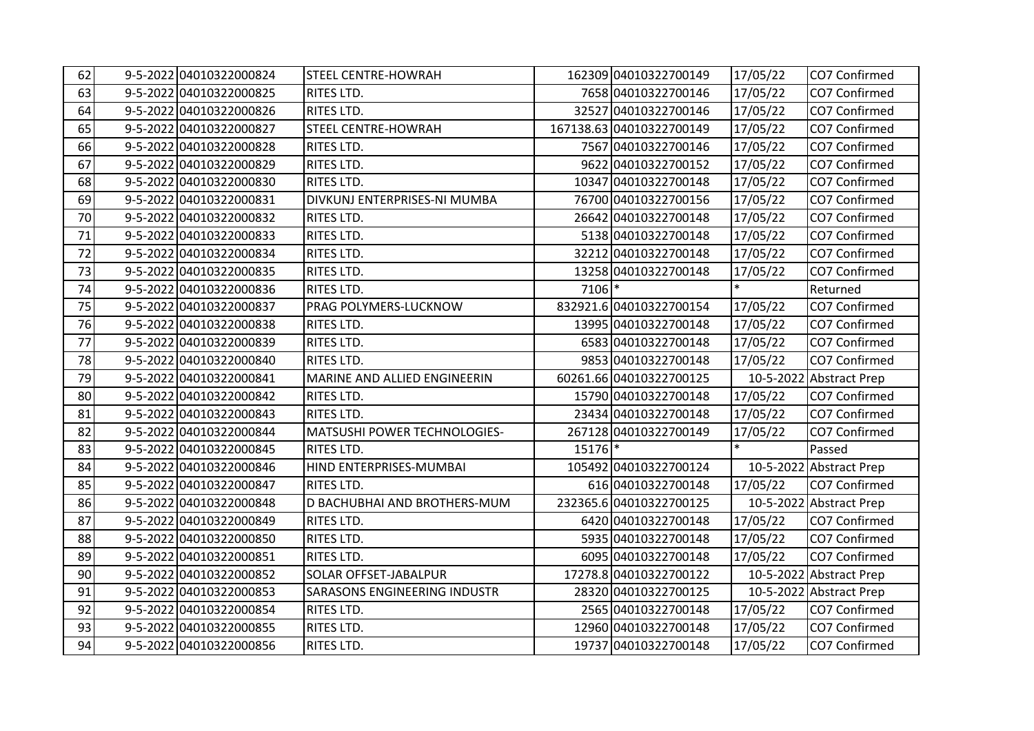| 62 | 9-5-2022 04010322000824 | <b>STEEL CENTRE-HOWRAH</b>          |         | 162309 04010322700149    | 17/05/22 | CO7 Confirmed           |
|----|-------------------------|-------------------------------------|---------|--------------------------|----------|-------------------------|
| 63 | 9-5-2022 04010322000825 | RITES LTD.                          |         | 7658 04010322700146      | 17/05/22 | CO7 Confirmed           |
| 64 | 9-5-2022 04010322000826 | RITES LTD.                          |         | 32527 04010322700146     | 17/05/22 | CO7 Confirmed           |
| 65 | 9-5-2022 04010322000827 | <b>STEEL CENTRE-HOWRAH</b>          |         | 167138.63 04010322700149 | 17/05/22 | CO7 Confirmed           |
| 66 | 9-5-2022 04010322000828 | RITES LTD.                          |         | 7567 04010322700146      | 17/05/22 | CO7 Confirmed           |
| 67 | 9-5-2022 04010322000829 | RITES LTD.                          |         | 9622 04010322700152      | 17/05/22 | CO7 Confirmed           |
| 68 | 9-5-2022 04010322000830 | <b>RITES LTD.</b>                   |         | 10347 04010322700148     | 17/05/22 | CO7 Confirmed           |
| 69 | 9-5-2022 04010322000831 | DIVKUNJ ENTERPRISES-NI MUMBA        |         | 76700 04010322700156     | 17/05/22 | CO7 Confirmed           |
| 70 | 9-5-2022 04010322000832 | RITES LTD.                          |         | 26642 04010322700148     | 17/05/22 | CO7 Confirmed           |
| 71 | 9-5-2022 04010322000833 | RITES LTD.                          |         | 5138 04010322700148      | 17/05/22 | CO7 Confirmed           |
| 72 | 9-5-2022 04010322000834 | <b>RITES LTD.</b>                   |         | 32212 04010322700148     | 17/05/22 | CO7 Confirmed           |
| 73 | 9-5-2022 04010322000835 | RITES LTD.                          |         | 13258 04010322700148     | 17/05/22 | CO7 Confirmed           |
| 74 | 9-5-2022 04010322000836 | RITES LTD.                          | 7106 *  |                          |          | Returned                |
| 75 | 9-5-2022 04010322000837 | PRAG POLYMERS-LUCKNOW               |         | 832921.6 04010322700154  | 17/05/22 | CO7 Confirmed           |
| 76 | 9-5-2022 04010322000838 | <b>RITES LTD.</b>                   |         | 13995 04010322700148     | 17/05/22 | CO7 Confirmed           |
| 77 | 9-5-2022 04010322000839 | RITES LTD.                          |         | 6583 04010322700148      | 17/05/22 | CO7 Confirmed           |
| 78 | 9-5-2022 04010322000840 | RITES LTD.                          |         | 9853 04010322700148      | 17/05/22 | CO7 Confirmed           |
| 79 | 9-5-2022 04010322000841 | MARINE AND ALLIED ENGINEERIN        |         | 60261.66 04010322700125  |          | 10-5-2022 Abstract Prep |
| 80 | 9-5-2022 04010322000842 | RITES LTD.                          |         | 15790 04010322700148     | 17/05/22 | CO7 Confirmed           |
| 81 | 9-5-2022 04010322000843 | RITES LTD.                          |         | 23434 04010322700148     | 17/05/22 | CO7 Confirmed           |
| 82 | 9-5-2022 04010322000844 | MATSUSHI POWER TECHNOLOGIES-        |         | 267128 04010322700149    | 17/05/22 | CO7 Confirmed           |
| 83 | 9-5-2022 04010322000845 | <b>RITES LTD.</b>                   | 15176 * |                          | $\ast$   | Passed                  |
| 84 | 9-5-2022 04010322000846 | HIND ENTERPRISES-MUMBAI             |         | 105492 04010322700124    |          | 10-5-2022 Abstract Prep |
| 85 | 9-5-2022 04010322000847 | RITES LTD.                          |         | 616 04010322700148       | 17/05/22 | CO7 Confirmed           |
| 86 | 9-5-2022 04010322000848 | D BACHUBHAI AND BROTHERS-MUM        |         | 232365.6 04010322700125  |          | 10-5-2022 Abstract Prep |
| 87 | 9-5-2022 04010322000849 | RITES LTD.                          |         | 6420 04010322700148      | 17/05/22 | CO7 Confirmed           |
| 88 | 9-5-2022 04010322000850 | RITES LTD.                          |         | 5935 04010322700148      | 17/05/22 | CO7 Confirmed           |
| 89 | 9-5-2022 04010322000851 | RITES LTD.                          |         | 6095 04010322700148      | 17/05/22 | CO7 Confirmed           |
| 90 | 9-5-2022 04010322000852 | <b>SOLAR OFFSET-JABALPUR</b>        |         | 17278.8 04010322700122   |          | 10-5-2022 Abstract Prep |
| 91 | 9-5-2022 04010322000853 | <b>SARASONS ENGINEERING INDUSTR</b> |         | 28320 04010322700125     |          | 10-5-2022 Abstract Prep |
| 92 | 9-5-2022 04010322000854 | RITES LTD.                          |         | 2565 04010322700148      | 17/05/22 | CO7 Confirmed           |
| 93 | 9-5-2022 04010322000855 | RITES LTD.                          |         | 12960 04010322700148     | 17/05/22 | CO7 Confirmed           |
| 94 | 9-5-2022 04010322000856 | RITES LTD.                          |         | 19737 04010322700148     | 17/05/22 | CO7 Confirmed           |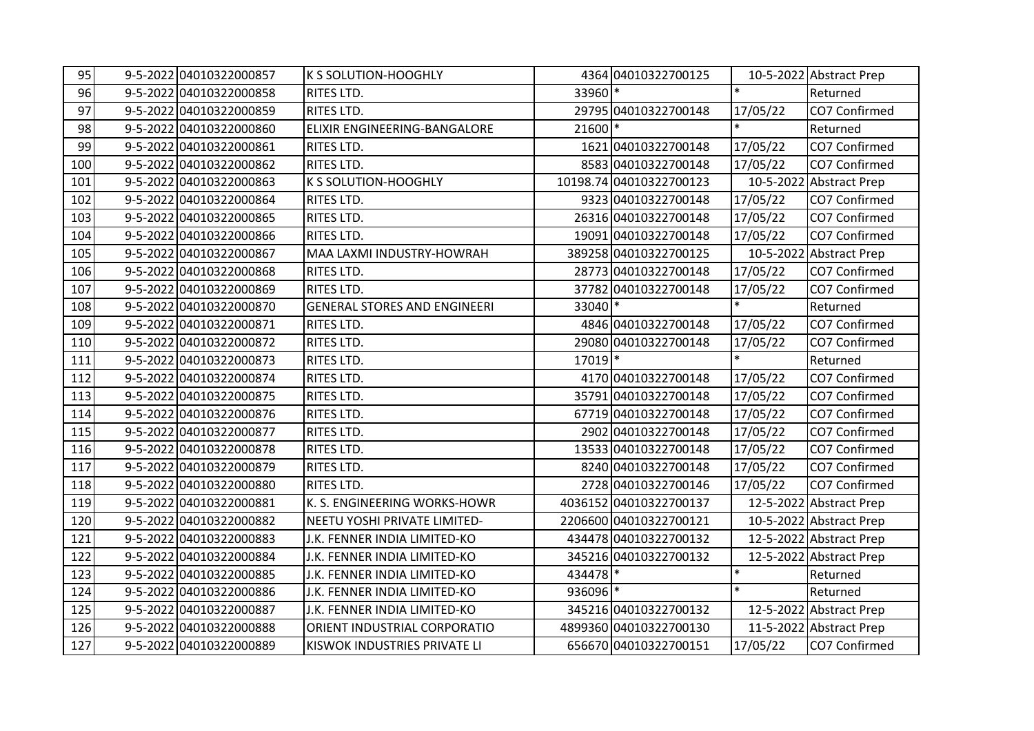| 95  | 9-5-2022 04010322000857 | K S SOLUTION-HOOGHLY                |          | 4364 04010322700125     |          | 10-5-2022 Abstract Prep |
|-----|-------------------------|-------------------------------------|----------|-------------------------|----------|-------------------------|
| 96  | 9-5-2022 04010322000858 | RITES LTD.                          | 33960 *  |                         | $\ast$   | Returned                |
| 97  | 9-5-2022 04010322000859 | <b>RITES LTD.</b>                   |          | 29795 04010322700148    | 17/05/22 | CO7 Confirmed           |
| 98  | 9-5-2022 04010322000860 | ELIXIR ENGINEERING-BANGALORE        | 21600 *  |                         | $\ast$   | Returned                |
| 99  | 9-5-2022 04010322000861 | RITES LTD.                          |          | 1621 04010322700148     | 17/05/22 | CO7 Confirmed           |
| 100 | 9-5-2022 04010322000862 | RITES LTD.                          |          | 8583 04010322700148     | 17/05/22 | CO7 Confirmed           |
| 101 | 9-5-2022 04010322000863 | K S SOLUTION-HOOGHLY                |          | 10198.74 04010322700123 |          | 10-5-2022 Abstract Prep |
| 102 | 9-5-2022 04010322000864 | RITES LTD.                          |          | 9323 04010322700148     | 17/05/22 | CO7 Confirmed           |
| 103 | 9-5-2022 04010322000865 | RITES LTD.                          |          | 26316 04010322700148    | 17/05/22 | CO7 Confirmed           |
| 104 | 9-5-2022 04010322000866 | RITES LTD.                          |          | 19091 04010322700148    | 17/05/22 | CO7 Confirmed           |
| 105 | 9-5-2022 04010322000867 | MAA LAXMI INDUSTRY-HOWRAH           |          | 389258 04010322700125   |          | 10-5-2022 Abstract Prep |
| 106 | 9-5-2022 04010322000868 | RITES LTD.                          |          | 28773 04010322700148    | 17/05/22 | CO7 Confirmed           |
| 107 | 9-5-2022 04010322000869 | RITES LTD.                          |          | 37782 04010322700148    | 17/05/22 | CO7 Confirmed           |
| 108 | 9-5-2022 04010322000870 | <b>GENERAL STORES AND ENGINEERI</b> | 33040 *  |                         | $\ast$   | Returned                |
| 109 | 9-5-2022 04010322000871 | <b>RITES LTD.</b>                   |          | 4846 04010322700148     | 17/05/22 | CO7 Confirmed           |
| 110 | 9-5-2022 04010322000872 | RITES LTD.                          |          | 29080 04010322700148    | 17/05/22 | CO7 Confirmed           |
| 111 | 9-5-2022 04010322000873 | RITES LTD.                          | 17019 *  |                         |          | Returned                |
| 112 | 9-5-2022 04010322000874 | <b>RITES LTD.</b>                   |          | 4170 04010322700148     | 17/05/22 | CO7 Confirmed           |
| 113 | 9-5-2022 04010322000875 | RITES LTD.                          |          | 35791 04010322700148    | 17/05/22 | CO7 Confirmed           |
| 114 | 9-5-2022 04010322000876 | RITES LTD.                          |          | 67719 04010322700148    | 17/05/22 | CO7 Confirmed           |
| 115 | 9-5-2022 04010322000877 | RITES LTD.                          |          | 2902 04010322700148     | 17/05/22 | CO7 Confirmed           |
| 116 | 9-5-2022 04010322000878 | <b>RITES LTD.</b>                   |          | 13533 04010322700148    | 17/05/22 | CO7 Confirmed           |
| 117 | 9-5-2022 04010322000879 | RITES LTD.                          |          | 8240 04010322700148     | 17/05/22 | CO7 Confirmed           |
| 118 | 9-5-2022 04010322000880 | <b>RITES LTD.</b>                   |          | 2728 04010322700146     | 17/05/22 | CO7 Confirmed           |
| 119 | 9-5-2022 04010322000881 | K. S. ENGINEERING WORKS-HOWR        |          | 4036152 04010322700137  |          | 12-5-2022 Abstract Prep |
| 120 | 9-5-2022 04010322000882 | NEETU YOSHI PRIVATE LIMITED-        |          | 2206600 04010322700121  |          | 10-5-2022 Abstract Prep |
| 121 | 9-5-2022 04010322000883 | J.K. FENNER INDIA LIMITED-KO        |          | 434478 04010322700132   |          | 12-5-2022 Abstract Prep |
| 122 | 9-5-2022 04010322000884 | J.K. FENNER INDIA LIMITED-KO        |          | 345216 04010322700132   |          | 12-5-2022 Abstract Prep |
| 123 | 9-5-2022 04010322000885 | J.K. FENNER INDIA LIMITED-KO        | 434478 * |                         | $\ast$   | Returned                |
| 124 | 9-5-2022 04010322000886 | J.K. FENNER INDIA LIMITED-KO        | 936096 * |                         | $\ast$   | Returned                |
| 125 | 9-5-2022 04010322000887 | J.K. FENNER INDIA LIMITED-KO        |          | 345216 04010322700132   |          | 12-5-2022 Abstract Prep |
| 126 | 9-5-2022 04010322000888 | ORIENT INDUSTRIAL CORPORATIO        |          | 4899360 04010322700130  |          | 11-5-2022 Abstract Prep |
| 127 | 9-5-2022 04010322000889 | KISWOK INDUSTRIES PRIVATE LI        |          | 656670 04010322700151   | 17/05/22 | CO7 Confirmed           |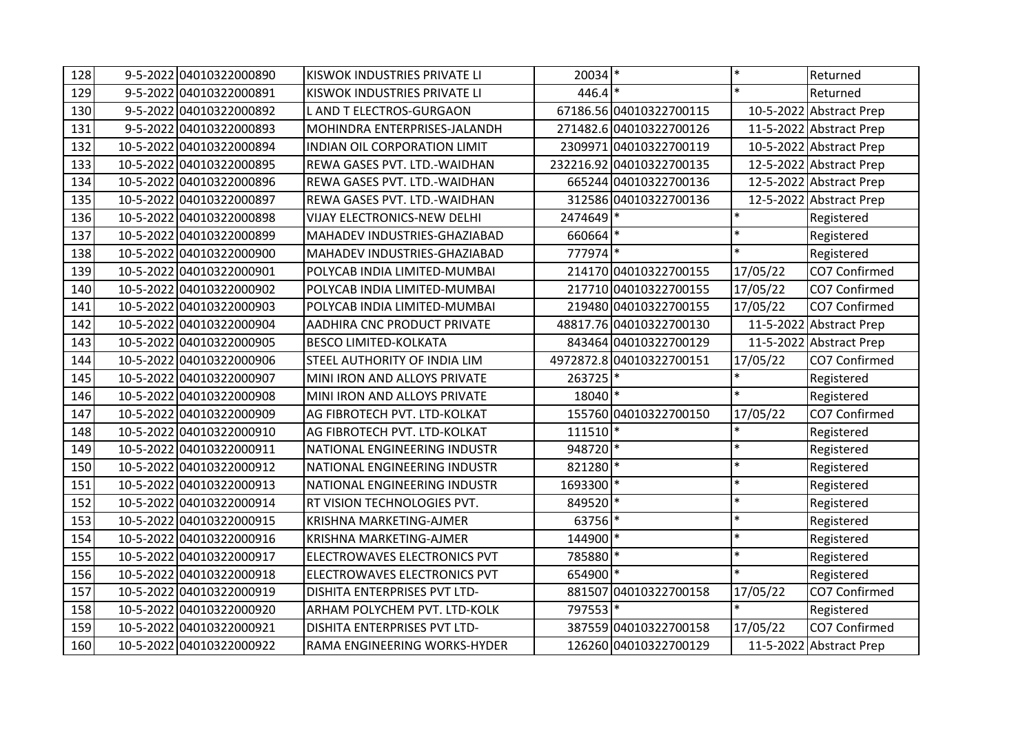| 128 | 9-5-2022 04010322000890  | KISWOK INDUSTRIES PRIVATE LI        | 20034 *   |                          | $\ast$    | Returned                |
|-----|--------------------------|-------------------------------------|-----------|--------------------------|-----------|-------------------------|
| 129 | 9-5-2022 04010322000891  | KISWOK INDUSTRIES PRIVATE LI        | $446.4$ * |                          | $\ast$    | Returned                |
| 130 | 9-5-2022 04010322000892  | L AND T ELECTROS-GURGAON            |           | 67186.56 04010322700115  |           | 10-5-2022 Abstract Prep |
| 131 | 9-5-2022 04010322000893  | MOHINDRA ENTERPRISES-JALANDH        |           | 271482.6 04010322700126  |           | 11-5-2022 Abstract Prep |
| 132 | 10-5-2022 04010322000894 | INDIAN OIL CORPORATION LIMIT        |           | 2309971 04010322700119   |           | 10-5-2022 Abstract Prep |
| 133 | 10-5-2022 04010322000895 | REWA GASES PVT. LTD.-WAIDHAN        |           | 232216.92 04010322700135 |           | 12-5-2022 Abstract Prep |
| 134 | 10-5-2022 04010322000896 | <b>REWA GASES PVT. LTD.-WAIDHAN</b> |           | 665244 04010322700136    |           | 12-5-2022 Abstract Prep |
| 135 | 10-5-2022 04010322000897 | REWA GASES PVT. LTD.-WAIDHAN        |           | 312586 04010322700136    |           | 12-5-2022 Abstract Prep |
| 136 | 10-5-2022 04010322000898 | <b>VIJAY ELECTRONICS-NEW DELHI</b>  | 2474649 * |                          | $\ast$    | Registered              |
| 137 | 10-5-2022 04010322000899 | MAHADEV INDUSTRIES-GHAZIABAD        | 660664 *  |                          | $\ast$    | Registered              |
| 138 | 10-5-2022 04010322000900 | MAHADEV INDUSTRIES-GHAZIABAD        | 777974 *  |                          | $\ast$    | Registered              |
| 139 | 10-5-2022 04010322000901 | POLYCAB INDIA LIMITED-MUMBAI        |           | 214170 04010322700155    | 17/05/22  | CO7 Confirmed           |
| 140 | 10-5-2022 04010322000902 | POLYCAB INDIA LIMITED-MUMBAI        |           | 217710 04010322700155    | 17/05/22  | CO7 Confirmed           |
| 141 | 10-5-2022 04010322000903 | POLYCAB INDIA LIMITED-MUMBAI        |           | 219480 04010322700155    | 17/05/22  | CO7 Confirmed           |
| 142 | 10-5-2022 04010322000904 | AADHIRA CNC PRODUCT PRIVATE         |           | 48817.76 04010322700130  | 11-5-2022 | <b>Abstract Prep</b>    |
| 143 | 10-5-2022 04010322000905 | <b>BESCO LIMITED-KOLKATA</b>        |           | 843464 04010322700129    |           | 11-5-2022 Abstract Prep |
| 144 | 10-5-2022 04010322000906 | STEEL AUTHORITY OF INDIA LIM        |           | 4972872.8 04010322700151 | 17/05/22  | CO7 Confirmed           |
| 145 | 10-5-2022 04010322000907 | MINI IRON AND ALLOYS PRIVATE        | 263725 *  |                          | $\ast$    | Registered              |
| 146 | 10-5-2022 04010322000908 | MINI IRON AND ALLOYS PRIVATE        | 18040 *   |                          | $\ast$    | Registered              |
| 147 | 10-5-2022 04010322000909 | AG FIBROTECH PVT. LTD-KOLKAT        |           | 155760 04010322700150    | 17/05/22  | CO7 Confirmed           |
| 148 | 10-5-2022 04010322000910 | AG FIBROTECH PVT. LTD-KOLKAT        | 111510  * |                          | $\ast$    | Registered              |
| 149 | 10-5-2022 04010322000911 | NATIONAL ENGINEERING INDUSTR        | 948720 *  |                          | $\ast$    | Registered              |
| 150 | 10-5-2022 04010322000912 | NATIONAL ENGINEERING INDUSTR        | 821280 *  |                          | $\ast$    | Registered              |
| 151 | 10-5-2022 04010322000913 | NATIONAL ENGINEERING INDUSTR        | 1693300 * |                          | $\ast$    | Registered              |
| 152 | 10-5-2022 04010322000914 | RT VISION TECHNOLOGIES PVT.         | 849520 *  |                          | $\ast$    | Registered              |
| 153 | 10-5-2022 04010322000915 | KRISHNA MARKETING-AJMER             | 63756 *   |                          | $\ast$    | Registered              |
| 154 | 10-5-2022 04010322000916 | KRISHNA MARKETING-AJMER             | 144900 *  |                          | $\ast$    | Registered              |
| 155 | 10-5-2022 04010322000917 | ELECTROWAVES ELECTRONICS PVT        | 785880 *  |                          | $\ast$    | Registered              |
| 156 | 10-5-2022 04010322000918 | ELECTROWAVES ELECTRONICS PVT        | 654900 *  |                          | $\ast$    | Registered              |
| 157 | 10-5-2022 04010322000919 | DISHITA ENTERPRISES PVT LTD-        |           | 881507 04010322700158    | 17/05/22  | CO7 Confirmed           |
| 158 | 10-5-2022 04010322000920 | ARHAM POLYCHEM PVT. LTD-KOLK        | 797553 *  |                          | $\ast$    | Registered              |
| 159 | 10-5-2022 04010322000921 | DISHITA ENTERPRISES PVT LTD-        |           | 387559 04010322700158    | 17/05/22  | CO7 Confirmed           |
| 160 | 10-5-2022 04010322000922 | RAMA ENGINEERING WORKS-HYDER        |           | 126260 04010322700129    |           | 11-5-2022 Abstract Prep |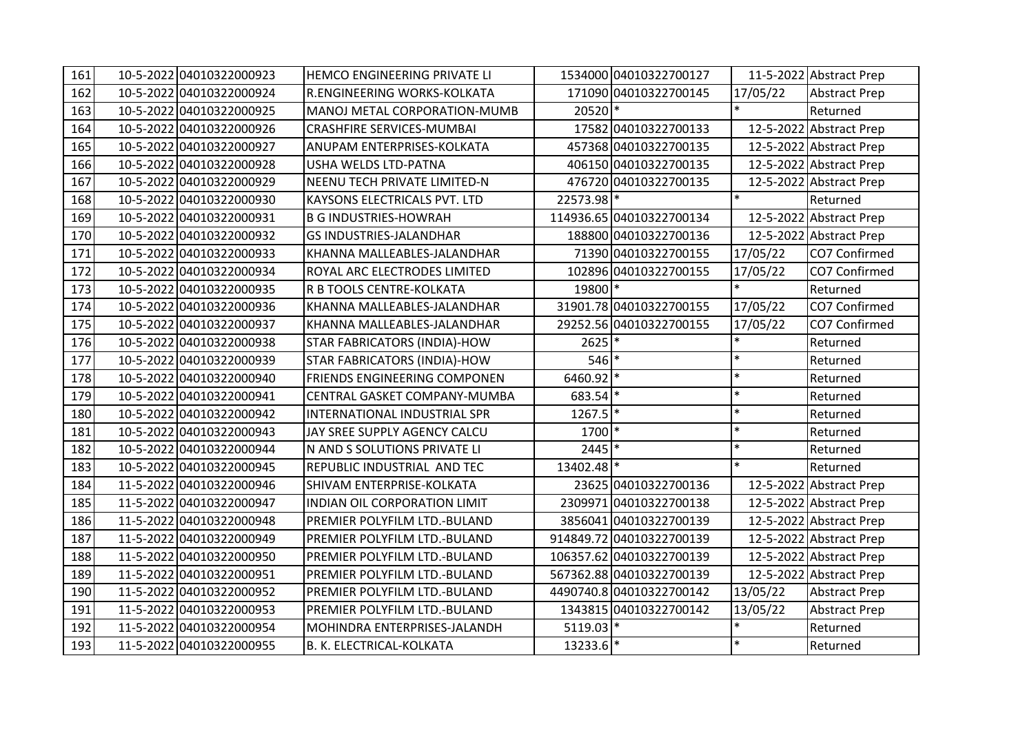| 161 | 10-5-2022 04010322000923 | HEMCO ENGINEERING PRIVATE LI        |            | 1534000 04010322700127   |          | 11-5-2022 Abstract Prep |
|-----|--------------------------|-------------------------------------|------------|--------------------------|----------|-------------------------|
| 162 | 10-5-2022 04010322000924 | R.ENGINEERING WORKS-KOLKATA         |            | 171090 04010322700145    | 17/05/22 | <b>Abstract Prep</b>    |
| 163 | 10-5-2022 04010322000925 | MANOJ METAL CORPORATION-MUMB        | 20520 *    |                          |          | Returned                |
| 164 | 10-5-2022 04010322000926 | <b>CRASHFIRE SERVICES-MUMBAI</b>    |            | 17582 04010322700133     |          | 12-5-2022 Abstract Prep |
| 165 | 10-5-2022 04010322000927 | ANUPAM ENTERPRISES-KOLKATA          |            | 457368 04010322700135    |          | 12-5-2022 Abstract Prep |
| 166 | 10-5-2022 04010322000928 | <b>USHA WELDS LTD-PATNA</b>         |            | 406150 04010322700135    |          | 12-5-2022 Abstract Prep |
| 167 | 10-5-2022 04010322000929 | <b>NEENU TECH PRIVATE LIMITED-N</b> |            | 476720 04010322700135    |          | 12-5-2022 Abstract Prep |
| 168 | 10-5-2022 04010322000930 | <b>KAYSONS ELECTRICALS PVT. LTD</b> | 22573.98 * |                          | $\ast$   | Returned                |
| 169 | 10-5-2022 04010322000931 | <b>B G INDUSTRIES-HOWRAH</b>        |            | 114936.65 04010322700134 |          | 12-5-2022 Abstract Prep |
| 170 | 10-5-2022 04010322000932 | <b>GS INDUSTRIES-JALANDHAR</b>      |            | 188800 04010322700136    |          | 12-5-2022 Abstract Prep |
| 171 | 10-5-2022 04010322000933 | KHANNA MALLEABLES-JALANDHAR         |            | 71390 04010322700155     | 17/05/22 | CO7 Confirmed           |
| 172 | 10-5-2022 04010322000934 | ROYAL ARC ELECTRODES LIMITED        |            | 102896 04010322700155    | 17/05/22 | CO7 Confirmed           |
| 173 | 10-5-2022 04010322000935 | R B TOOLS CENTRE-KOLKATA            | 19800 *    |                          |          | Returned                |
| 174 | 10-5-2022 04010322000936 | KHANNA MALLEABLES-JALANDHAR         |            | 31901.78 04010322700155  | 17/05/22 | CO7 Confirmed           |
| 175 | 10-5-2022 04010322000937 | KHANNA MALLEABLES-JALANDHAR         |            | 29252.56 04010322700155  | 17/05/22 | CO7 Confirmed           |
| 176 | 10-5-2022 04010322000938 | <b>STAR FABRICATORS (INDIA)-HOW</b> | 2625       |                          |          | Returned                |
| 177 | 10-5-2022 04010322000939 | <b>STAR FABRICATORS (INDIA)-HOW</b> | $546$ *    |                          | $\ast$   | Returned                |
| 178 | 10-5-2022 04010322000940 | FRIENDS ENGINEERING COMPONEN        | 6460.92 *  |                          | $\ast$   | Returned                |
| 179 | 10-5-2022 04010322000941 | CENTRAL GASKET COMPANY-MUMBA        | 683.54 *   |                          | $\ast$   | Returned                |
| 180 | 10-5-2022 04010322000942 | INTERNATIONAL INDUSTRIAL SPR        | $1267.5$ * |                          | $\ast$   | Returned                |
| 181 | 10-5-2022 04010322000943 | JAY SREE SUPPLY AGENCY CALCU        | 1700 *     |                          | $\ast$   | Returned                |
| 182 | 10-5-2022 04010322000944 | N AND S SOLUTIONS PRIVATE LI        | 2445 *     |                          | $\ast$   | Returned                |
| 183 | 10-5-2022 04010322000945 | REPUBLIC INDUSTRIAL AND TEC         | 13402.48 * |                          | $\ast$   | Returned                |
| 184 | 11-5-2022 04010322000946 | SHIVAM ENTERPRISE-KOLKATA           |            | 23625 04010322700136     |          | 12-5-2022 Abstract Prep |
| 185 | 11-5-2022 04010322000947 | INDIAN OIL CORPORATION LIMIT        |            | 2309971 04010322700138   |          | 12-5-2022 Abstract Prep |
| 186 | 11-5-2022 04010322000948 | PREMIER POLYFILM LTD.-BULAND        |            | 3856041 04010322700139   |          | 12-5-2022 Abstract Prep |
| 187 | 11-5-2022 04010322000949 | PREMIER POLYFILM LTD.-BULAND        |            | 914849.72 04010322700139 |          | 12-5-2022 Abstract Prep |
| 188 | 11-5-2022 04010322000950 | PREMIER POLYFILM LTD.-BULAND        |            | 106357.62 04010322700139 |          | 12-5-2022 Abstract Prep |
| 189 | 11-5-2022 04010322000951 | PREMIER POLYFILM LTD.-BULAND        |            | 567362.88 04010322700139 |          | 12-5-2022 Abstract Prep |
| 190 | 11-5-2022 04010322000952 | PREMIER POLYFILM LTD.-BULAND        |            | 4490740.8 04010322700142 | 13/05/22 | Abstract Prep           |
| 191 | 11-5-2022 04010322000953 | PREMIER POLYFILM LTD.-BULAND        |            | 1343815 04010322700142   | 13/05/22 | <b>Abstract Prep</b>    |
| 192 | 11-5-2022 04010322000954 | MOHINDRA ENTERPRISES-JALANDH        | 5119.03 *  |                          |          | Returned                |
| 193 | 11-5-2022 04010322000955 | B. K. ELECTRICAL-KOLKATA            | 13233.6 *  |                          | $\ast$   | Returned                |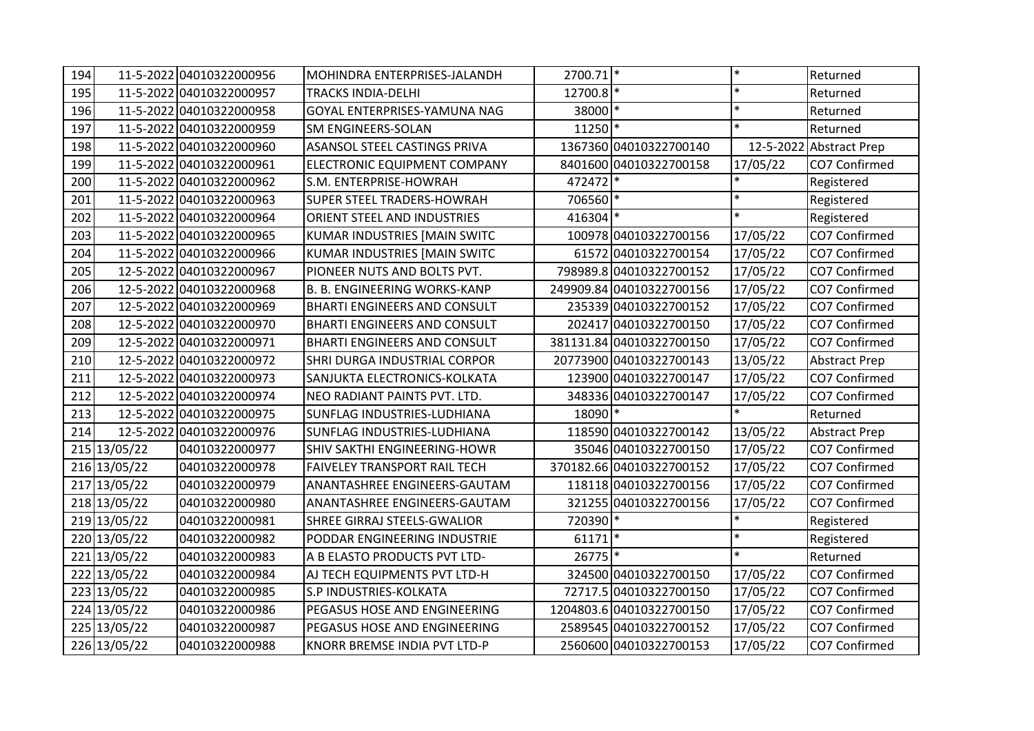| 194 |              | 11-5-2022 04010322000956 | MOHINDRA ENTERPRISES-JALANDH        | 2700.71 * |                          | $\ast$   | Returned                |
|-----|--------------|--------------------------|-------------------------------------|-----------|--------------------------|----------|-------------------------|
| 195 |              | 11-5-2022 04010322000957 | TRACKS INDIA-DELHI                  | 12700.8 * |                          | $\ast$   | Returned                |
| 196 |              | 11-5-2022 04010322000958 | GOYAL ENTERPRISES-YAMUNA NAG        | 38000 *   |                          | $\ast$   | Returned                |
| 197 |              | 11-5-2022 04010322000959 | SM ENGINEERS-SOLAN                  | 11250 *   |                          | $\ast$   | Returned                |
| 198 |              | 11-5-2022 04010322000960 | ASANSOL STEEL CASTINGS PRIVA        |           | 1367360 04010322700140   |          | 12-5-2022 Abstract Prep |
| 199 |              | 11-5-2022 04010322000961 | ELECTRONIC EQUIPMENT COMPANY        |           | 8401600 04010322700158   | 17/05/22 | CO7 Confirmed           |
| 200 |              | 11-5-2022 04010322000962 | S.M. ENTERPRISE-HOWRAH              | 472472 *  |                          |          | Registered              |
| 201 |              | 11-5-2022 04010322000963 | <b>SUPER STEEL TRADERS-HOWRAH</b>   | 706560 *  |                          | $\ast$   | Registered              |
| 202 |              | 11-5-2022 04010322000964 | ORIENT STEEL AND INDUSTRIES         | 416304 *  |                          | $\ast$   | Registered              |
| 203 |              | 11-5-2022 04010322000965 | KUMAR INDUSTRIES [MAIN SWITC        |           | 100978 04010322700156    | 17/05/22 | CO7 Confirmed           |
| 204 |              | 11-5-2022 04010322000966 | KUMAR INDUSTRIES [MAIN SWITC        |           | 61572 04010322700154     | 17/05/22 | CO7 Confirmed           |
| 205 |              | 12-5-2022 04010322000967 | PIONEER NUTS AND BOLTS PVT.         |           | 798989.8 04010322700152  | 17/05/22 | CO7 Confirmed           |
| 206 |              | 12-5-2022 04010322000968 | <b>B. B. ENGINEERING WORKS-KANP</b> |           | 249909.84 04010322700156 | 17/05/22 | CO7 Confirmed           |
| 207 |              | 12-5-2022 04010322000969 | <b>BHARTI ENGINEERS AND CONSULT</b> |           | 235339 04010322700152    | 17/05/22 | CO7 Confirmed           |
| 208 |              | 12-5-2022 04010322000970 | <b>BHARTI ENGINEERS AND CONSULT</b> |           | 202417 04010322700150    | 17/05/22 | CO7 Confirmed           |
| 209 |              | 12-5-2022 04010322000971 | <b>BHARTI ENGINEERS AND CONSULT</b> |           | 381131.84 04010322700150 | 17/05/22 | CO7 Confirmed           |
| 210 |              | 12-5-2022 04010322000972 | SHRI DURGA INDUSTRIAL CORPOR        |           | 20773900 04010322700143  | 13/05/22 | <b>Abstract Prep</b>    |
| 211 |              | 12-5-2022 04010322000973 | SANJUKTA ELECTRONICS-KOLKATA        |           | 123900 04010322700147    | 17/05/22 | CO7 Confirmed           |
| 212 |              | 12-5-2022 04010322000974 | NEO RADIANT PAINTS PVT. LTD.        |           | 348336 04010322700147    | 17/05/22 | CO7 Confirmed           |
| 213 |              | 12-5-2022 04010322000975 | SUNFLAG INDUSTRIES-LUDHIANA         | 18090 *   |                          |          | Returned                |
| 214 |              | 12-5-2022 04010322000976 | SUNFLAG INDUSTRIES-LUDHIANA         |           | 118590 04010322700142    | 13/05/22 | <b>Abstract Prep</b>    |
|     | 215 13/05/22 | 04010322000977           | SHIV SAKTHI ENGINEERING-HOWR        |           | 35046 04010322700150     | 17/05/22 | CO7 Confirmed           |
|     | 216 13/05/22 | 04010322000978           | <b>FAIVELEY TRANSPORT RAIL TECH</b> |           | 370182.66 04010322700152 | 17/05/22 | CO7 Confirmed           |
|     | 217 13/05/22 | 04010322000979           | ANANTASHREE ENGINEERS-GAUTAM        |           | 118118 04010322700156    | 17/05/22 | CO7 Confirmed           |
|     | 218 13/05/22 | 04010322000980           | ANANTASHREE ENGINEERS-GAUTAM        |           | 321255 04010322700156    | 17/05/22 | CO7 Confirmed           |
|     | 219 13/05/22 | 04010322000981           | <b>SHREE GIRRAJ STEELS-GWALIOR</b>  | 720390 *  |                          |          | Registered              |
|     | 220 13/05/22 | 04010322000982           | PODDAR ENGINEERING INDUSTRIE        | $61171$ * |                          | $\ast$   | Registered              |
|     | 221 13/05/22 | 04010322000983           | A B ELASTO PRODUCTS PVT LTD-        | 26775 *   |                          | $\ast$   | Returned                |
|     | 222 13/05/22 | 04010322000984           | AJ TECH EQUIPMENTS PVT LTD-H        |           | 324500 04010322700150    | 17/05/22 | CO7 Confirmed           |
|     | 223 13/05/22 | 04010322000985           | S.P INDUSTRIES-KOLKATA              |           | 72717.5 04010322700150   | 17/05/22 | CO7 Confirmed           |
|     | 224 13/05/22 | 04010322000986           | PEGASUS HOSE AND ENGINEERING        |           | 1204803.6 04010322700150 | 17/05/22 | CO7 Confirmed           |
|     | 225 13/05/22 | 04010322000987           | PEGASUS HOSE AND ENGINEERING        |           | 2589545 04010322700152   | 17/05/22 | CO7 Confirmed           |
|     | 226 13/05/22 | 04010322000988           | KNORR BREMSE INDIA PVT LTD-P        |           | 2560600 04010322700153   | 17/05/22 | CO7 Confirmed           |